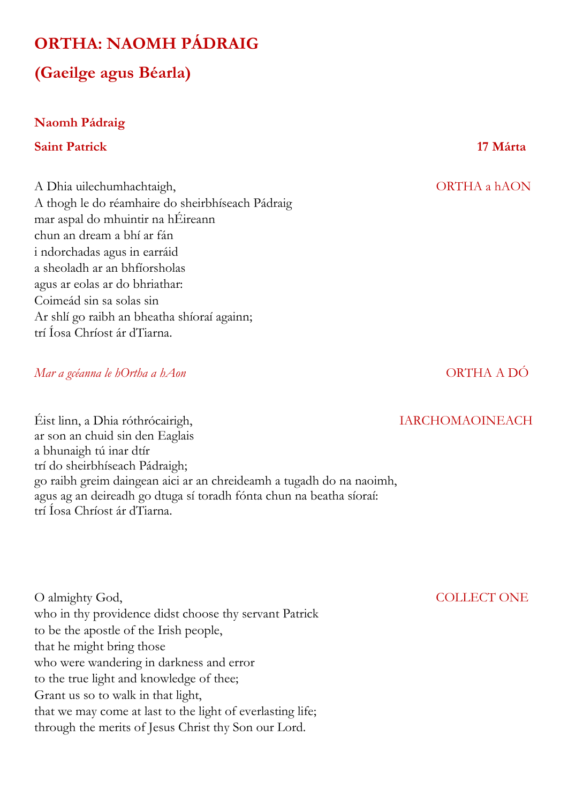## **ORTHA: NAOMH PÁDRAIG**

# **(Gaeilge agus Béarla)**

### **Naomh Pádraig**

### **Saint Patrick 17 Márta**

A Dhia uilechumhachtaigh, ORTHA a hAON A thogh le do réamhaire do sheirbhíseach Pádraig mar aspal do mhuintir na hÉireann chun an dream a bhí ar fán i ndorchadas agus in earráid a sheoladh ar an bhfíorsholas agus ar eolas ar do bhriathar: Coimeád sin sa solas sin Ar shlí go raibh an bheatha shíoraí againn; trí Íosa Chríost ár dTiarna.

## *Mar a gcéanna le hOrtha a hAon* ORTHA A DÓ

Éist linn, a Dhia róthrócairigh, IARCHOMAOINEACH ar son an chuid sin den Eaglais a bhunaigh tú inar dtír trí do sheirbhíseach Pádraigh; go raibh greim daingean aici ar an chreideamh a tugadh do na naoimh, agus ag an deireadh go dtuga sí toradh fónta chun na beatha síoraí: trí Íosa Chríost ár dTiarna.

O almighty God, COLLECT ONE who in thy providence didst choose thy servant Patrick to be the apostle of the Irish people, that he might bring those who were wandering in darkness and error to the true light and knowledge of thee; Grant us so to walk in that light, that we may come at last to the light of everlasting life; through the merits of Jesus Christ thy Son our Lord.